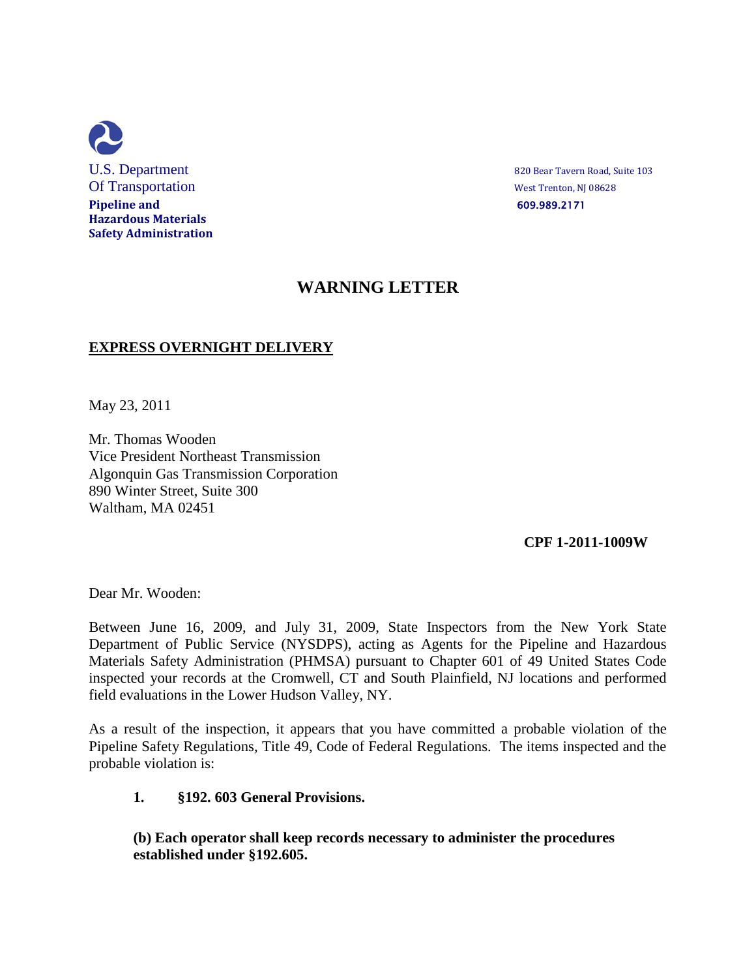

## **WARNING LETTER**

## **EXPRESS OVERNIGHT DELIVERY**

May 23, 2011

Mr. Thomas Wooden Vice President Northeast Transmission Algonquin Gas Transmission Corporation 890 Winter Street, Suite 300 Waltham, MA 02451

## **CPF 1-2011-1009W**

Dear Mr. Wooden:

Between June 16, 2009, and July 31, 2009, State Inspectors from the New York State Department of Public Service (NYSDPS), acting as Agents for the Pipeline and Hazardous Materials Safety Administration (PHMSA) pursuant to Chapter 601 of 49 United States Code inspected your records at the Cromwell, CT and South Plainfield, NJ locations and performed field evaluations in the Lower Hudson Valley, NY.

As a result of the inspection, it appears that you have committed a probable violation of the Pipeline Safety Regulations, Title 49, Code of Federal Regulations. The items inspected and the probable violation is:

## **1. §192. 603 General Provisions.**

**(b) Each operator shall keep records necessary to administer the procedures established under §192.605.**